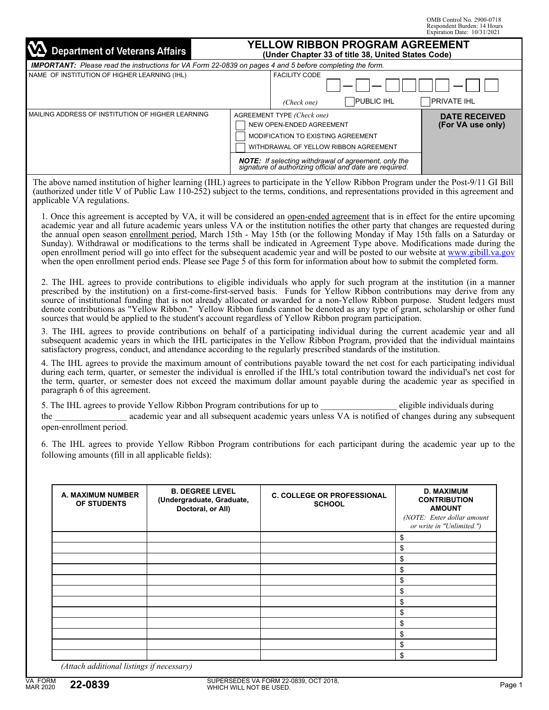OMB Control No. 2900-0718 Respondent Burden: 14 Hours Expiration Date: 10/31/2021

| M<br><b>Department of Veterans Affairs</b>          | YELLOW RIBBON PROGRAM AGREEMENT<br>(Under Chapter 33 of title 38, United States Code)                                                                                                                                                                         |                                           |  |  |
|-----------------------------------------------------|---------------------------------------------------------------------------------------------------------------------------------------------------------------------------------------------------------------------------------------------------------------|-------------------------------------------|--|--|
|                                                     | <b>IMPORTANT:</b> Please read the instructions for VA Form 22-0839 on pages 4 and 5 before completing the form.                                                                                                                                               |                                           |  |  |
| NAME OF INSTITUTION OF HIGHER LEARNING (IHL)        | <b>FACILITY CODE</b><br>(Check one)                                                                                                                                                                                                                           | <b>PUBLIC IHL</b><br><b>PRIVATE IHL</b>   |  |  |
| I MAILING ADDRESS OF INSTITUTION OF HIGHER LEARNING | AGREEMENT TYPE (Check one)<br>NEW OPEN-ENDED AGREEMENT<br>MODIFICATION TO EXISTING AGREEMENT<br>WITHDRAWAL OF YELLOW RIBBON AGREEMENT<br><b>NOTE:</b> If selecting withdrawal of agreement, only the signature of authorizing official and date are required. | <b>DATE RECEIVED</b><br>(For VA use only) |  |  |

The above named institution of higher learning (IHL) agrees to participate in the Yellow Ribbon Program under the Post-9/11 GI Bill (authorized under title V of Public Law 110-252) subject to the terms, conditions, and representations provided in this agreement and applicable VA regulations.

1. Once this agreement is accepted by VA, it will be considered an open-ended agreement that is in effect for the entire upcoming academic year and all future academic years unless VA or the institution notifies the other party that changes are requested during the annual open season enrollment period, March 15th - May 15th (or the following Monday if May 15th falls on a Saturday or Sunday). Withdrawal or modifications to the terms shall be indicated in Agreement Type above. Modifications made during the open enrollment period will go into effect for the subsequent academic year and will be posted to our website at [www.gibill.va.gov](http://www.gibill.va.gov) when the open enrollment period ends. Please see Page  $\dot{5}$  of this form for information about how to submit the completed form.

2. The IHL agrees to provide contributions to eligible individuals who apply for such program at the institution (in a manner prescribed by the institution) on a first-come-first-served basis. Funds for Yellow Ribbon contributions may derive from any source of institutional funding that is not already allocated or awarded for a non-Yellow Ribbon purpose. Student ledgers must denote contributions as "Yellow Ribbon." Yellow Ribbon funds cannot be denoted as any type of grant, scholarship or other fund sources that would be applied to the student's account regardless of Yellow Ribbon program participation.

3. The IHL agrees to provide contributions on behalf of a participating individual during the current academic year and all subsequent academic years in which the IHL participates in the Yellow Ribbon Program, provided that the individual maintains satisfactory progress, conduct, and attendance according to the regularly prescribed standards of the institution.

4. The IHL agrees to provide the maximum amount of contributions payable toward the net cost for each participating individual during each term, quarter, or semester the individual is enrolled if the IHL's total contribution toward the individual's net cost for the term, quarter, or semester does not exceed the maximum dollar amount payable during the academic year as specified in paragraph 6 of this agreement.

5. The IHL agrees to provide Yellow Ribbon Program contributions for up to eligible individuals during the academic year and all subsequent academic years unless VA is notified of changes during any subsequent open-enrollment period.

6. The IHL agrees to provide Yellow Ribbon Program contributions for each participant during the academic year up to the following amounts (fill in all applicable fields):

| A. MAXIMUM NUMBER<br>OF STUDENTS | <b>B. DEGREE LEVEL</b><br>(Undergraduate, Graduate,<br>Doctoral, or All) | <b>C. COLLEGE OR PROFESSIONAL</b><br><b>SCHOOL</b> | <b>D. MAXIMUM</b><br><b>CONTRIBUTION</b><br><b>AMOUNT</b><br>(NOTE: Enter dollar amount<br>or write in "Unlimited.") |
|----------------------------------|--------------------------------------------------------------------------|----------------------------------------------------|----------------------------------------------------------------------------------------------------------------------|
|                                  |                                                                          |                                                    | \$                                                                                                                   |
|                                  |                                                                          |                                                    | \$                                                                                                                   |
|                                  |                                                                          |                                                    | \$                                                                                                                   |
|                                  |                                                                          |                                                    | \$                                                                                                                   |
|                                  |                                                                          |                                                    | \$                                                                                                                   |
|                                  |                                                                          |                                                    | \$                                                                                                                   |
|                                  |                                                                          |                                                    | \$                                                                                                                   |
|                                  |                                                                          |                                                    | \$                                                                                                                   |
|                                  |                                                                          |                                                    | \$                                                                                                                   |
|                                  |                                                                          |                                                    | \$                                                                                                                   |
|                                  |                                                                          |                                                    | \$                                                                                                                   |
| $\sim$ $\sim$                    | $\sim$                                                                   |                                                    | \$                                                                                                                   |

*(Attach additional listings if necessary)*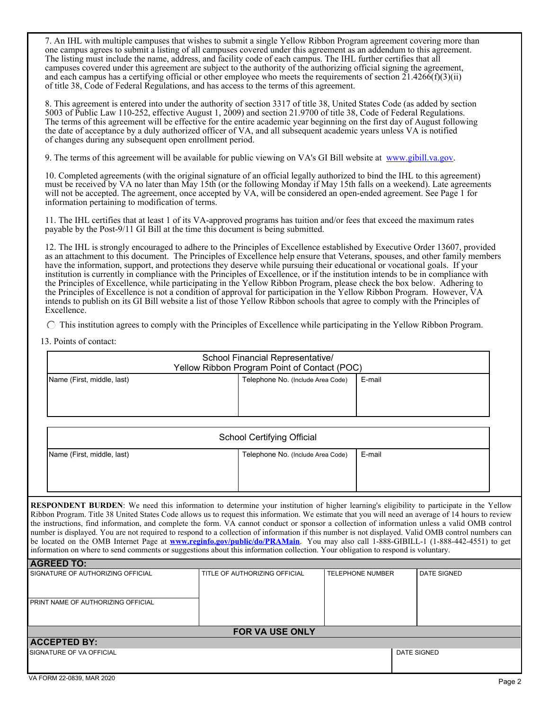7. An IHL with multiple campuses that wishes to submit a single Yellow Ribbon Program agreement covering more than one campus agrees to submit a listing of all campuses covered under this agreement as an addendum to this agreement. The listing must include the name, address, and facility code of each campus. The IHL further certifies that all campuses covered under this agreement are subject to the authority of the authorizing official signing the agreement, and each campus has a certifying official or other employee who meets the requirements of section  $21.4266(f)(3)(ii)$ of title 38, Code of Federal Regulations, and has access to the terms of this agreement.

 8. This agreement is entered into under the authority of section 3317 of title 38, United States Code (as added by section 5003 of Public Law 110-252, effective August 1, 2009) and section 21.9700 of title 38, Code of Federal Regulations. The terms of this agreement will be effective for the entire academic year beginning on the first day of August following the date of acceptance by a duly authorized officer of VA, and all subsequent academic years unless VA is notified of changes during any subsequent open enrollment period.

9. The terms of this agreement will be available for public viewing on VA's GI Bill website at [www.gibill.va.gov.](www.gibill.va.gov)

 10. Completed agreements (with the original signature of an official legally authorized to bind the IHL to this agreement) must be received by VA no later than May 15th (or the following Monday if May 15th falls on a weekend). Late agreements will not be accepted. The agreement, once accepted by VA, will be considered an open-ended agreement. See Page 1 for information pertaining to modification of terms.

 11. The IHL certifies that at least 1 of its VA-approved programs has tuition and/or fees that exceed the maximum rates payable by the Post-9/11 GI Bill at the time this document is being submitted.

 12. The IHL is strongly encouraged to adhere to the Principles of Excellence established by Executive Order 13607, provided as an attachment to this document. The Principles of Excellence help ensure that Veterans, spouses, and other family members have the information, support, and protections they deserve while pursuing their educational or vocational goals. If your institution is currently in compliance with the Principles of Excellence, or if the institution intends to be in compliance with the Principles of Excellence, while participating in the Yellow Ribbon Program, please check the box below. Adhering to the Principles of Excellence is not a condition of approval for participation in the Yellow Ribbon Program. However, VA intends to publish on its GI Bill website a list of those Yellow Ribbon schools that agree to comply with the Principles of Excellence.

 $\bigcap$  This institution agrees to comply with the Principles of Excellence while participating in the Yellow Ribbon Program.

13. Points of contact:

| School Financial Representative/<br>Yellow Ribbon Program Point of Contact (POC) |  |  |  |  |
|----------------------------------------------------------------------------------|--|--|--|--|
| Telephone No. (Include Area Code)<br>Name (First, middle, last)<br>E-mail        |  |  |  |  |

| <b>School Certifying Official</b>                                         |  |  |  |  |
|---------------------------------------------------------------------------|--|--|--|--|
| Name (First, middle, last)<br>E-mail<br>Telephone No. (Include Area Code) |  |  |  |  |
|                                                                           |  |  |  |  |

**RESPONDENT BURDEN**: We need this information to determine your institution of higher learning's eligibility to participate in the Yellow Ribbon Program. Title 38 United States Code allows us to request this information. We estimate that you will need an average of 14 hours to review the instructions, find information, and complete the form. VA cannot conduct or sponsor a collection of information unless a valid OMB control number is displayed. You are not required to respond to a collection of information if this number is not displayed. Valid OMB control numbers can be located on the OMB Internet Page at **<www.reginfo.gov/public/do/PRAMain>**. You may also call 1-888-GIBILL-1 (1-888-442-4551) to get information on where to send comments or suggestions about this information collection. Your obligation to respond is voluntary.

| <b>AGREED TO:</b>                  |                               |                         |                    |  |
|------------------------------------|-------------------------------|-------------------------|--------------------|--|
| SIGNATURE OF AUTHORIZING OFFICIAL  | TITLE OF AUTHORIZING OFFICIAL | <b>TELEPHONE NUMBER</b> | <b>DATE SIGNED</b> |  |
| PRINT NAME OF AUTHORIZING OFFICIAL |                               |                         |                    |  |
| <b>FOR VA USE ONLY</b>             |                               |                         |                    |  |
| <b>ACCEPTED BY:</b>                |                               |                         |                    |  |
| SIGNATURE OF VA OFFICIAL           |                               |                         | <b>DATE SIGNED</b> |  |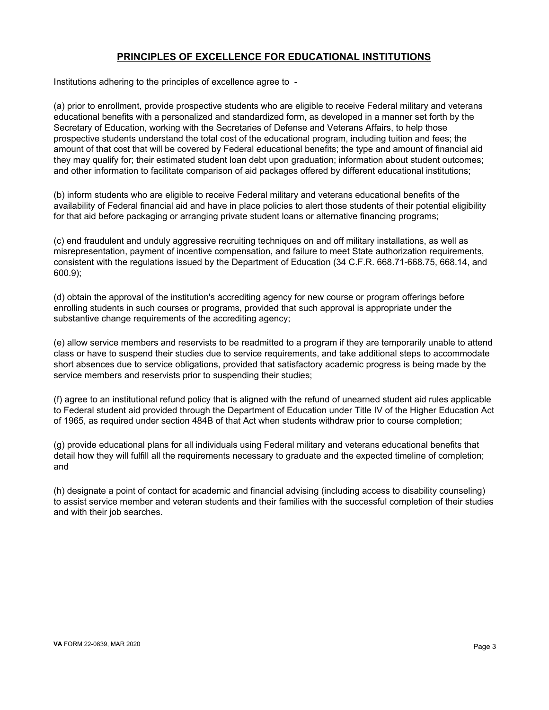# **PRINCIPLES OF EXCELLENCE FOR EDUCATIONAL INSTITUTIONS**

Institutions adhering to the principles of excellence agree to -

(a) prior to enrollment, provide prospective students who are eligible to receive Federal military and veterans educational benefits with a personalized and standardized form, as developed in a manner set forth by the Secretary of Education, working with the Secretaries of Defense and Veterans Affairs, to help those prospective students understand the total cost of the educational program, including tuition and fees; the amount of that cost that will be covered by Federal educational benefits; the type and amount of financial aid they may qualify for; their estimated student loan debt upon graduation; information about student outcomes; and other information to facilitate comparison of aid packages offered by different educational institutions;

(b) inform students who are eligible to receive Federal military and veterans educational benefits of the availability of Federal financial aid and have in place policies to alert those students of their potential eligibility for that aid before packaging or arranging private student loans or alternative financing programs;

(c) end fraudulent and unduly aggressive recruiting techniques on and off military installations, as well as misrepresentation, payment of incentive compensation, and failure to meet State authorization requirements, consistent with the regulations issued by the Department of Education (34 C.F.R. 668.71-668.75, 668.14, and 600.9);

(d) obtain the approval of the institution's accrediting agency for new course or program offerings before enrolling students in such courses or programs, provided that such approval is appropriate under the substantive change requirements of the accrediting agency;

(e) allow service members and reservists to be readmitted to a program if they are temporarily unable to attend class or have to suspend their studies due to service requirements, and take additional steps to accommodate short absences due to service obligations, provided that satisfactory academic progress is being made by the service members and reservists prior to suspending their studies;

(f) agree to an institutional refund policy that is aligned with the refund of unearned student aid rules applicable to Federal student aid provided through the Department of Education under Title IV of the Higher Education Act of 1965, as required under section 484B of that Act when students withdraw prior to course completion;

(g) provide educational plans for all individuals using Federal military and veterans educational benefits that detail how they will fulfill all the requirements necessary to graduate and the expected timeline of completion; and

(h) designate a point of contact for academic and financial advising (including access to disability counseling) to assist service member and veteran students and their families with the successful completion of their studies and with their job searches.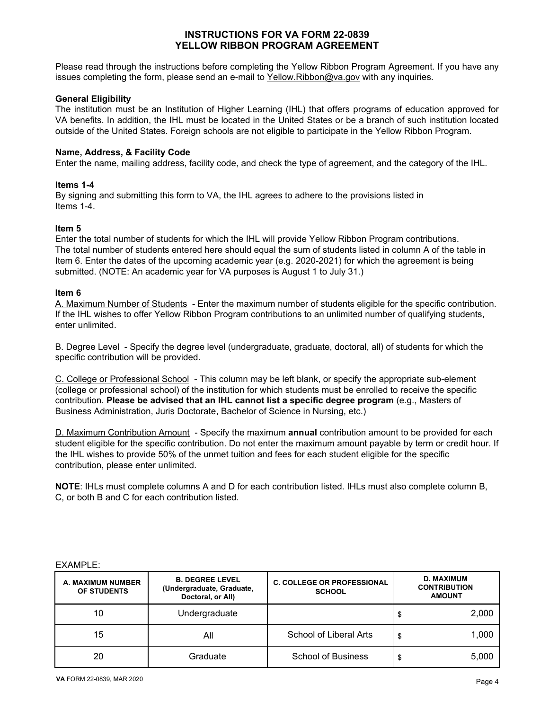# **INSTRUCTIONS FOR VA FORM 22-0839 YELLOW RIBBON PROGRAM AGREEMENT**

Please read through the instructions before completing the Yellow Ribbon Program Agreement. If you have any issues completing the form, please send an e-mail to  $Yellow.Ribbon@va.gov with any inquiries.$ </u>

# **General Eligibility**

The institution must be an Institution of Higher Learning (IHL) that offers programs of education approved for VA benefits. In addition, the IHL must be located in the United States or be a branch of such institution located outside of the United States. Foreign schools are not eligible to participate in the Yellow Ribbon Program.

### **Name, Address, & Facility Code**

Enter the name, mailing address, facility code, and check the type of agreement, and the category of the IHL.

# **Items 1-4**

By signing and submitting this form to VA, the IHL agrees to adhere to the provisions listed in Items 1-4.

# **Item 5**

Enter the total number of students for which the IHL will provide Yellow Ribbon Program contributions. The total number of students entered here should equal the sum of students listed in column A of the table in Item 6. Enter the dates of the upcoming academic year (e.g. 2020-2021) for which the agreement is being submitted. (NOTE: An academic year for VA purposes is August 1 to July 31.)

# **Item 6**

A. Maximum Number of Students - Enter the maximum number of students eligible for the specific contribution. If the IHL wishes to offer Yellow Ribbon Program contributions to an unlimited number of qualifying students, enter unlimited.

B. Degree Level - Specify the degree level (undergraduate, graduate, doctoral, all) of students for which the specific contribution will be provided.

C. College or Professional School - This column may be left blank, or specify the appropriate sub-element (college or professional school) of the institution for which students must be enrolled to receive the specific contribution. **Please be advised that an IHL cannot list a specific degree program** (e.g., Masters of Business Administration, Juris Doctorate, Bachelor of Science in Nursing, etc.)

D. Maximum Contribution Amount - Specify the maximum **annual** contribution amount to be provided for each student eligible for the specific contribution. Do not enter the maximum amount payable by term or credit hour. If the IHL wishes to provide 50% of the unmet tuition and fees for each student eligible for the specific contribution, please enter unlimited.

**NOTE**: IHLs must complete columns A and D for each contribution listed. IHLs must also complete column B, C, or both B and C for each contribution listed.

#### EXAMPLE:

| A. MAXIMUM NUMBER<br>OF STUDENTS | <b>B. DEGREE LEVEL</b><br>(Undergraduate, Graduate,<br>Doctoral, or All) | <b>C. COLLEGE OR PROFESSIONAL</b><br><b>SCHOOL</b> | <b>D. MAXIMUM</b><br><b>CONTRIBUTION</b><br><b>AMOUNT</b> |
|----------------------------------|--------------------------------------------------------------------------|----------------------------------------------------|-----------------------------------------------------------|
| 10                               | Undergraduate                                                            |                                                    | \$<br>2,000                                               |
| 15                               | All                                                                      | School of Liberal Arts                             | \$<br>1.000                                               |
| 20                               | Graduate                                                                 | <b>School of Business</b>                          | \$<br>5.000                                               |